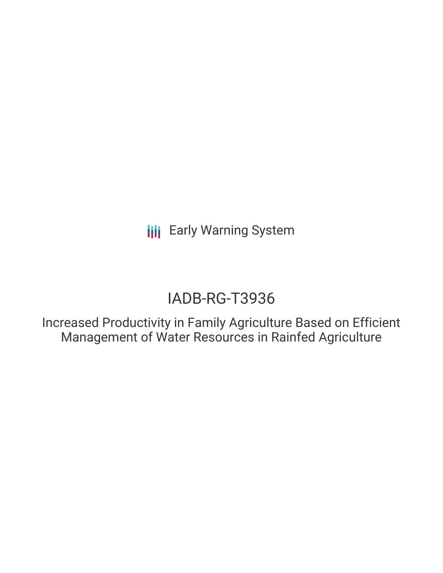**III** Early Warning System

# IADB-RG-T3936

Increased Productivity in Family Agriculture Based on Efficient Management of Water Resources in Rainfed Agriculture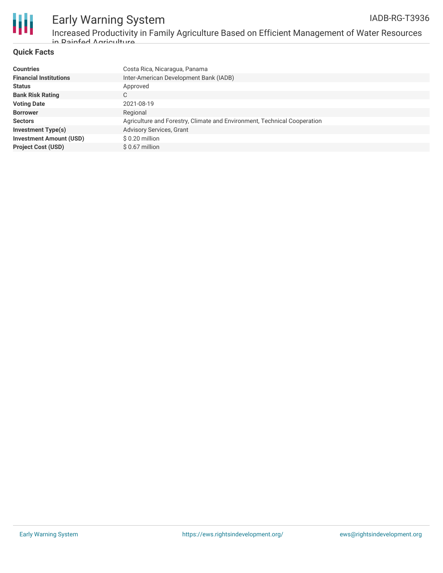

Increased Productivity in Family Agriculture Based on Efficient Management of Water Resources in Rainfed Agriculture

### **Quick Facts**

| <b>Countries</b>               | Costa Rica, Nicaragua, Panama                                            |
|--------------------------------|--------------------------------------------------------------------------|
| <b>Financial Institutions</b>  | Inter-American Development Bank (IADB)                                   |
| <b>Status</b>                  | Approved                                                                 |
| <b>Bank Risk Rating</b>        | C                                                                        |
| <b>Voting Date</b>             | 2021-08-19                                                               |
| <b>Borrower</b>                | Regional                                                                 |
| <b>Sectors</b>                 | Agriculture and Forestry, Climate and Environment, Technical Cooperation |
| <b>Investment Type(s)</b>      | <b>Advisory Services, Grant</b>                                          |
| <b>Investment Amount (USD)</b> | \$0.20 million                                                           |
| <b>Project Cost (USD)</b>      | $$0.67$ million                                                          |
|                                |                                                                          |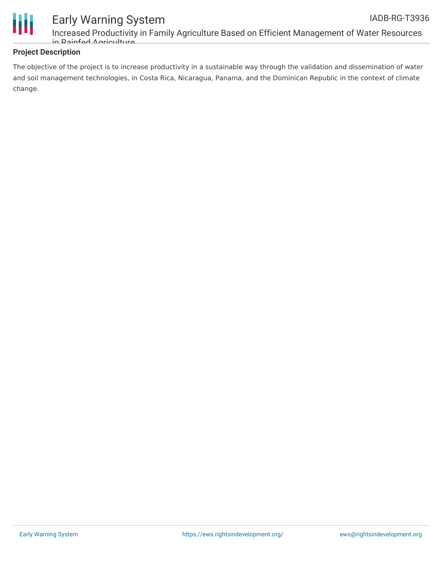

## **Project Description**

The objective of the project is to increase productivity in a sustainable way through the validation and dissemination of water and soil management technologies, in Costa Rica, Nicaragua, Panama, and the Dominican Republic in the context of climate change.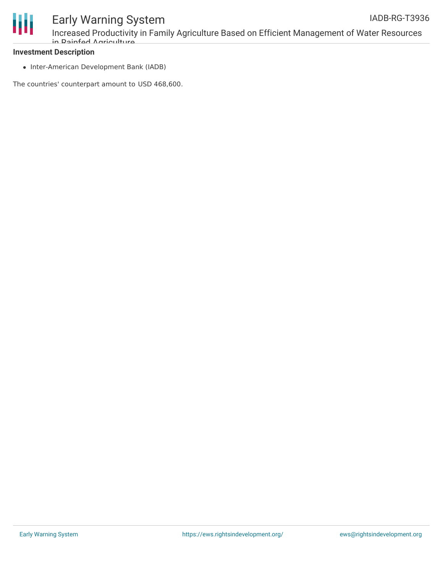

# **Investment Description**

• Inter-American Development Bank (IADB)

The countries' counterpart amount to USD 468,600.